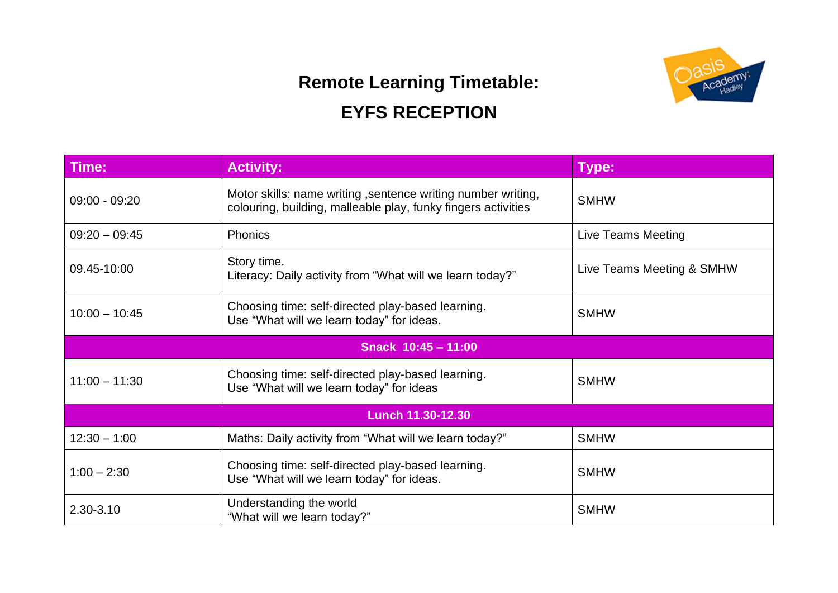

## **Remote Learning Timetable: EYFS RECEPTION**

| Time:                    | <b>Activity:</b>                                                                                                              | Type:                     |  |  |
|--------------------------|-------------------------------------------------------------------------------------------------------------------------------|---------------------------|--|--|
| $09:00 - 09:20$          | Motor skills: name writing, sentence writing number writing,<br>colouring, building, malleable play, funky fingers activities | <b>SMHW</b>               |  |  |
| $09:20 - 09:45$          | <b>Phonics</b>                                                                                                                | Live Teams Meeting        |  |  |
| 09.45-10:00              | Story time.<br>Literacy: Daily activity from "What will we learn today?"                                                      | Live Teams Meeting & SMHW |  |  |
| $10:00 - 10:45$          | Choosing time: self-directed play-based learning.<br>Use "What will we learn today" for ideas.                                | <b>SMHW</b>               |  |  |
| Snack 10:45 - 11:00      |                                                                                                                               |                           |  |  |
| $11:00 - 11:30$          | Choosing time: self-directed play-based learning.<br>Use "What will we learn today" for ideas                                 | <b>SMHW</b>               |  |  |
| <b>Lunch 11.30-12.30</b> |                                                                                                                               |                           |  |  |
| $12:30 - 1:00$           | Maths: Daily activity from "What will we learn today?"                                                                        | <b>SMHW</b>               |  |  |
| $1:00 - 2:30$            | Choosing time: self-directed play-based learning.<br>Use "What will we learn today" for ideas.                                | <b>SMHW</b>               |  |  |
| 2.30-3.10                | Understanding the world<br>"What will we learn today?"                                                                        | <b>SMHW</b>               |  |  |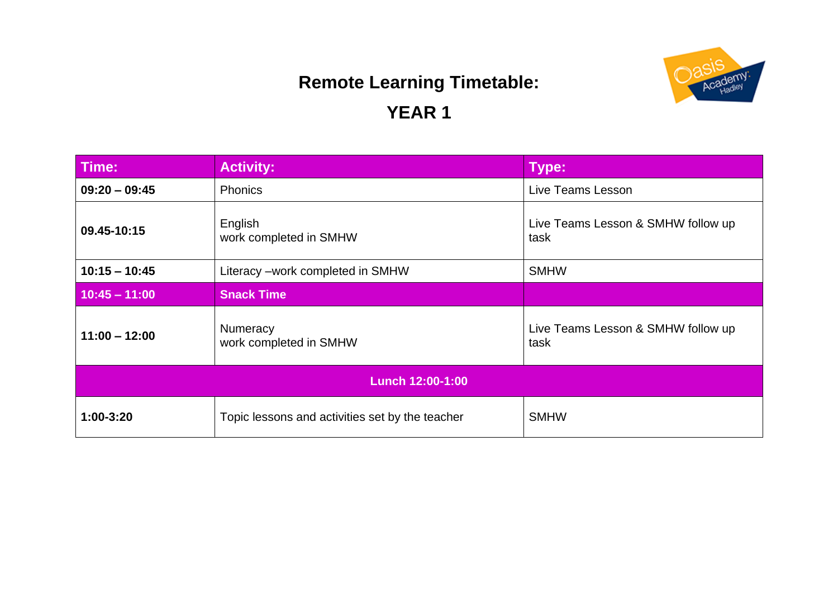

| Time:            | <b>Activity:</b>                                | Type:                                      |  |
|------------------|-------------------------------------------------|--------------------------------------------|--|
| $09:20 - 09:45$  | <b>Phonics</b>                                  | Live Teams Lesson                          |  |
| 09.45-10:15      | English<br>work completed in SMHW               | Live Teams Lesson & SMHW follow up<br>task |  |
| $10:15 - 10:45$  | Literacy - work completed in SMHW               | <b>SMHW</b>                                |  |
| $10:45 - 11:00$  | <b>Snack Time</b>                               |                                            |  |
| $11:00 - 12:00$  | Numeracy<br>work completed in SMHW              | Live Teams Lesson & SMHW follow up<br>task |  |
| Lunch 12:00-1:00 |                                                 |                                            |  |
| 1:00-3:20        | Topic lessons and activities set by the teacher | <b>SMHW</b>                                |  |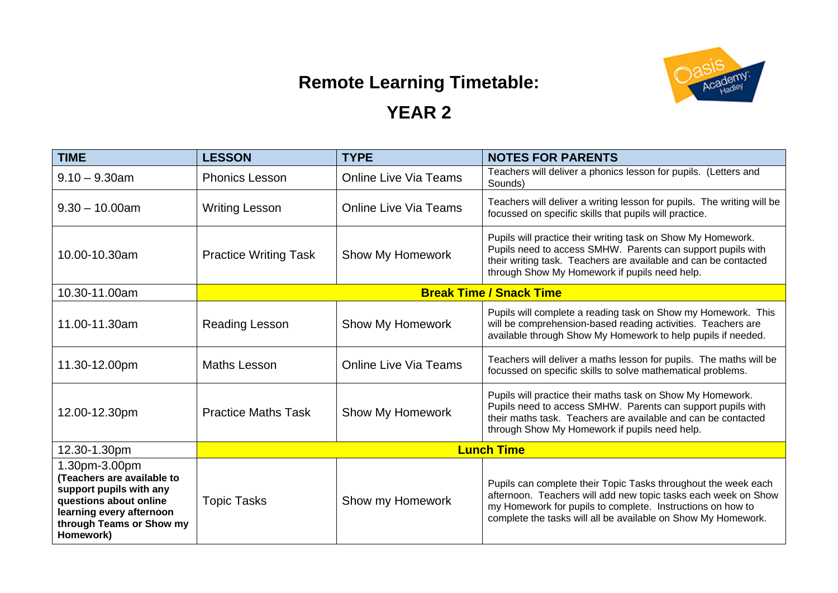

| <b>TIME</b>                                                                                                                                                           | <b>LESSON</b>                  | <b>TYPE</b>                  | <b>NOTES FOR PARENTS</b>                                                                                                                                                                                                                                        |
|-----------------------------------------------------------------------------------------------------------------------------------------------------------------------|--------------------------------|------------------------------|-----------------------------------------------------------------------------------------------------------------------------------------------------------------------------------------------------------------------------------------------------------------|
| $9.10 - 9.30$ am                                                                                                                                                      | <b>Phonics Lesson</b>          | <b>Online Live Via Teams</b> | Teachers will deliver a phonics lesson for pupils. (Letters and<br>Sounds)                                                                                                                                                                                      |
| $9.30 - 10.00$ am                                                                                                                                                     | <b>Writing Lesson</b>          | <b>Online Live Via Teams</b> | Teachers will deliver a writing lesson for pupils. The writing will be<br>focussed on specific skills that pupils will practice.                                                                                                                                |
| 10.00-10.30am                                                                                                                                                         | <b>Practice Writing Task</b>   | <b>Show My Homework</b>      | Pupils will practice their writing task on Show My Homework.<br>Pupils need to access SMHW. Parents can support pupils with<br>their writing task. Teachers are available and can be contacted<br>through Show My Homework if pupils need help.                 |
| 10.30-11.00am                                                                                                                                                         | <b>Break Time / Snack Time</b> |                              |                                                                                                                                                                                                                                                                 |
| 11.00-11.30am                                                                                                                                                         | Reading Lesson                 | <b>Show My Homework</b>      | Pupils will complete a reading task on Show my Homework. This<br>will be comprehension-based reading activities. Teachers are<br>available through Show My Homework to help pupils if needed.                                                                   |
| 11.30-12.00pm                                                                                                                                                         | <b>Maths Lesson</b>            | <b>Online Live Via Teams</b> | Teachers will deliver a maths lesson for pupils. The maths will be<br>focussed on specific skills to solve mathematical problems.                                                                                                                               |
| 12.00-12.30pm                                                                                                                                                         | <b>Practice Maths Task</b>     | Show My Homework             | Pupils will practice their maths task on Show My Homework.<br>Pupils need to access SMHW. Parents can support pupils with<br>their maths task. Teachers are available and can be contacted<br>through Show My Homework if pupils need help.                     |
| 12.30-1.30pm                                                                                                                                                          | <b>Lunch Time</b>              |                              |                                                                                                                                                                                                                                                                 |
| 1.30pm-3.00pm<br>(Teachers are available to<br>support pupils with any<br>questions about online<br>learning every afternoon<br>through Teams or Show my<br>Homework) | <b>Topic Tasks</b>             | Show my Homework             | Pupils can complete their Topic Tasks throughout the week each<br>afternoon. Teachers will add new topic tasks each week on Show<br>my Homework for pupils to complete. Instructions on how to<br>complete the tasks will all be available on Show My Homework. |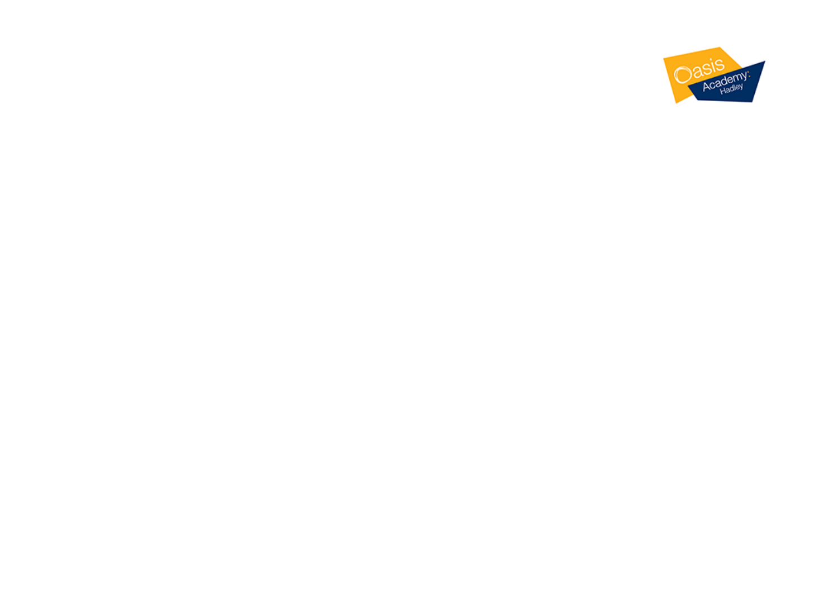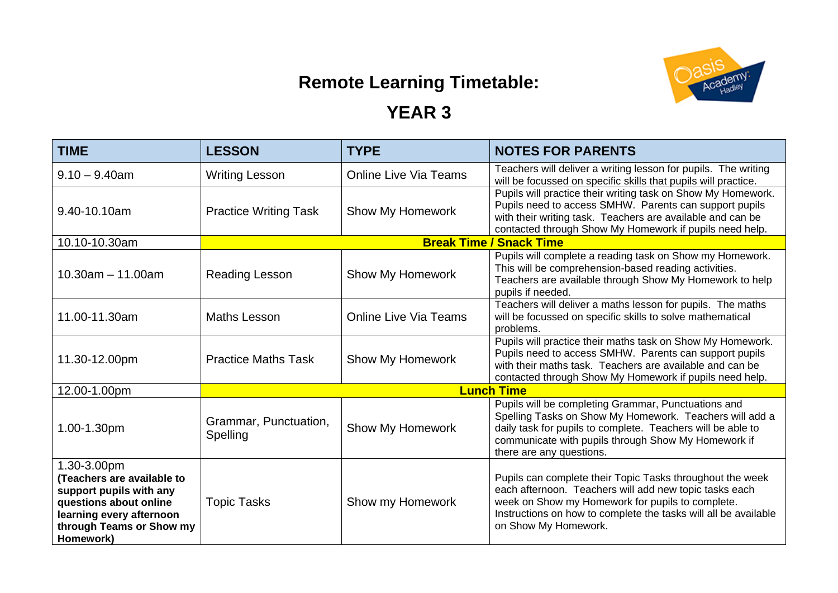

| <b>TIME</b>                                                                                                                                                         | <b>LESSON</b>                     | <b>TYPE</b>                  | <b>NOTES FOR PARENTS</b>                                                                                                                                                                                                                                           |
|---------------------------------------------------------------------------------------------------------------------------------------------------------------------|-----------------------------------|------------------------------|--------------------------------------------------------------------------------------------------------------------------------------------------------------------------------------------------------------------------------------------------------------------|
| $9.10 - 9.40$ am                                                                                                                                                    | <b>Writing Lesson</b>             | <b>Online Live Via Teams</b> | Teachers will deliver a writing lesson for pupils. The writing<br>will be focussed on specific skills that pupils will practice.                                                                                                                                   |
| 9.40-10.10am                                                                                                                                                        | <b>Practice Writing Task</b>      | Show My Homework             | Pupils will practice their writing task on Show My Homework.<br>Pupils need to access SMHW. Parents can support pupils<br>with their writing task. Teachers are available and can be<br>contacted through Show My Homework if pupils need help.                    |
| 10.10-10.30am                                                                                                                                                       |                                   |                              | <b>Break Time / Snack Time</b>                                                                                                                                                                                                                                     |
| $10.30$ am $- 11.00$ am                                                                                                                                             | Reading Lesson                    | Show My Homework             | Pupils will complete a reading task on Show my Homework.<br>This will be comprehension-based reading activities.<br>Teachers are available through Show My Homework to help<br>pupils if needed.                                                                   |
| 11.00-11.30am                                                                                                                                                       | <b>Maths Lesson</b>               | <b>Online Live Via Teams</b> | Teachers will deliver a maths lesson for pupils. The maths<br>will be focussed on specific skills to solve mathematical<br>problems.                                                                                                                               |
| 11.30-12.00pm                                                                                                                                                       | <b>Practice Maths Task</b>        | <b>Show My Homework</b>      | Pupils will practice their maths task on Show My Homework.<br>Pupils need to access SMHW. Parents can support pupils<br>with their maths task. Teachers are available and can be<br>contacted through Show My Homework if pupils need help.                        |
| 12.00-1.00pm                                                                                                                                                        | <b>Lunch Time</b>                 |                              |                                                                                                                                                                                                                                                                    |
| 1.00-1.30pm                                                                                                                                                         | Grammar, Punctuation,<br>Spelling | Show My Homework             | Pupils will be completing Grammar, Punctuations and<br>Spelling Tasks on Show My Homework. Teachers will add a<br>daily task for pupils to complete. Teachers will be able to<br>communicate with pupils through Show My Homework if<br>there are any questions.   |
| 1.30-3.00pm<br>(Teachers are available to<br>support pupils with any<br>questions about online<br>learning every afternoon<br>through Teams or Show my<br>Homework) | <b>Topic Tasks</b>                | Show my Homework             | Pupils can complete their Topic Tasks throughout the week<br>each afternoon. Teachers will add new topic tasks each<br>week on Show my Homework for pupils to complete.<br>Instructions on how to complete the tasks will all be available<br>on Show My Homework. |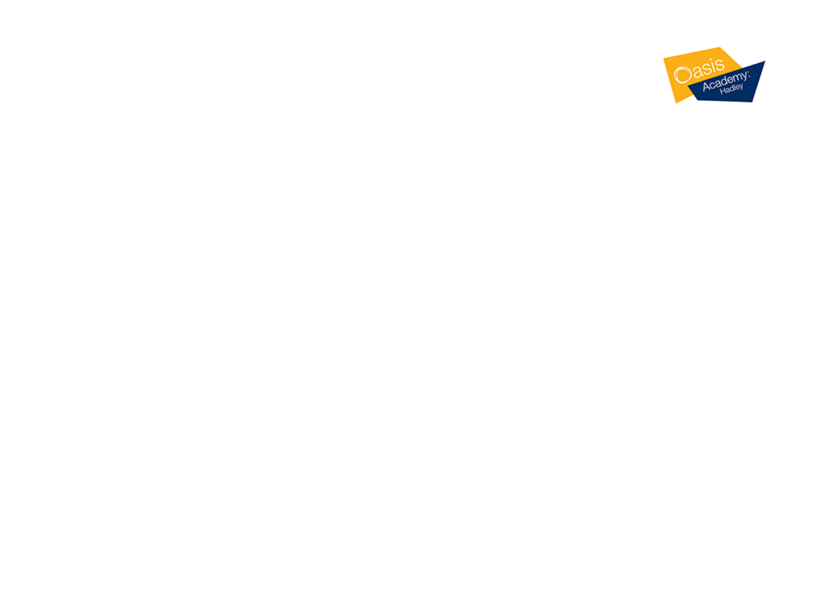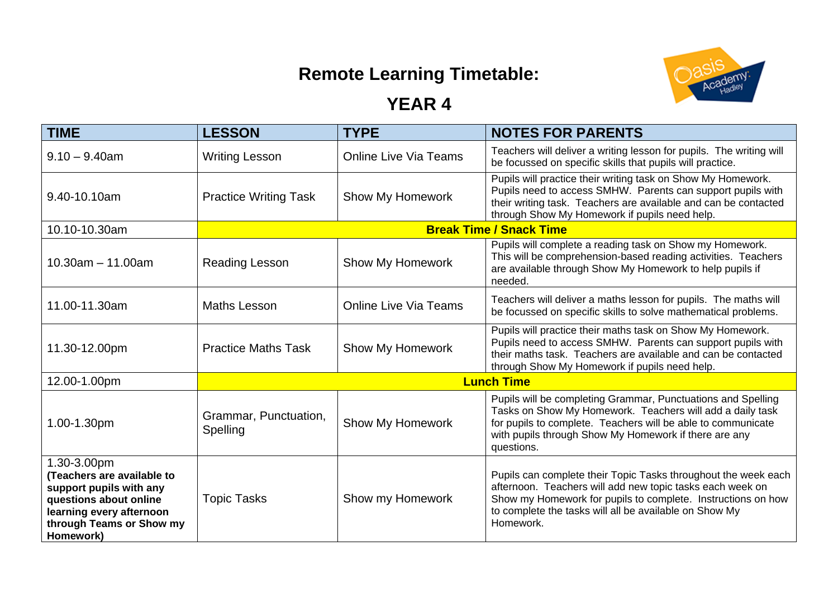

| <b>TIME</b>                                                                                                                                                         | <b>LESSON</b>                     | <b>TYPE</b>                  | <b>NOTES FOR PARENTS</b>                                                                                                                                                                                                                                           |
|---------------------------------------------------------------------------------------------------------------------------------------------------------------------|-----------------------------------|------------------------------|--------------------------------------------------------------------------------------------------------------------------------------------------------------------------------------------------------------------------------------------------------------------|
| $9.10 - 9.40$ am                                                                                                                                                    | <b>Writing Lesson</b>             | <b>Online Live Via Teams</b> | Teachers will deliver a writing lesson for pupils. The writing will<br>be focussed on specific skills that pupils will practice.                                                                                                                                   |
| 9.40-10.10am                                                                                                                                                        | <b>Practice Writing Task</b>      | Show My Homework             | Pupils will practice their writing task on Show My Homework.<br>Pupils need to access SMHW. Parents can support pupils with<br>their writing task. Teachers are available and can be contacted<br>through Show My Homework if pupils need help.                    |
| 10.10-10.30am                                                                                                                                                       |                                   |                              | <b>Break Time / Snack Time</b>                                                                                                                                                                                                                                     |
| $10.30$ am $- 11.00$ am                                                                                                                                             | <b>Reading Lesson</b>             | Show My Homework             | Pupils will complete a reading task on Show my Homework.<br>This will be comprehension-based reading activities. Teachers<br>are available through Show My Homework to help pupils if<br>needed.                                                                   |
| 11.00-11.30am                                                                                                                                                       | <b>Maths Lesson</b>               | <b>Online Live Via Teams</b> | Teachers will deliver a maths lesson for pupils. The maths will<br>be focussed on specific skills to solve mathematical problems.                                                                                                                                  |
| 11.30-12.00pm                                                                                                                                                       | <b>Practice Maths Task</b>        | <b>Show My Homework</b>      | Pupils will practice their maths task on Show My Homework.<br>Pupils need to access SMHW. Parents can support pupils with<br>their maths task. Teachers are available and can be contacted<br>through Show My Homework if pupils need help.                        |
| 12.00-1.00pm                                                                                                                                                        | <b>Lunch Time</b>                 |                              |                                                                                                                                                                                                                                                                    |
| 1.00-1.30pm                                                                                                                                                         | Grammar, Punctuation,<br>Spelling | Show My Homework             | Pupils will be completing Grammar, Punctuations and Spelling<br>Tasks on Show My Homework. Teachers will add a daily task<br>for pupils to complete. Teachers will be able to communicate<br>with pupils through Show My Homework if there are any<br>questions.   |
| 1.30-3.00pm<br>(Teachers are available to<br>support pupils with any<br>questions about online<br>learning every afternoon<br>through Teams or Show my<br>Homework) | <b>Topic Tasks</b>                | Show my Homework             | Pupils can complete their Topic Tasks throughout the week each<br>afternoon. Teachers will add new topic tasks each week on<br>Show my Homework for pupils to complete. Instructions on how<br>to complete the tasks will all be available on Show My<br>Homework. |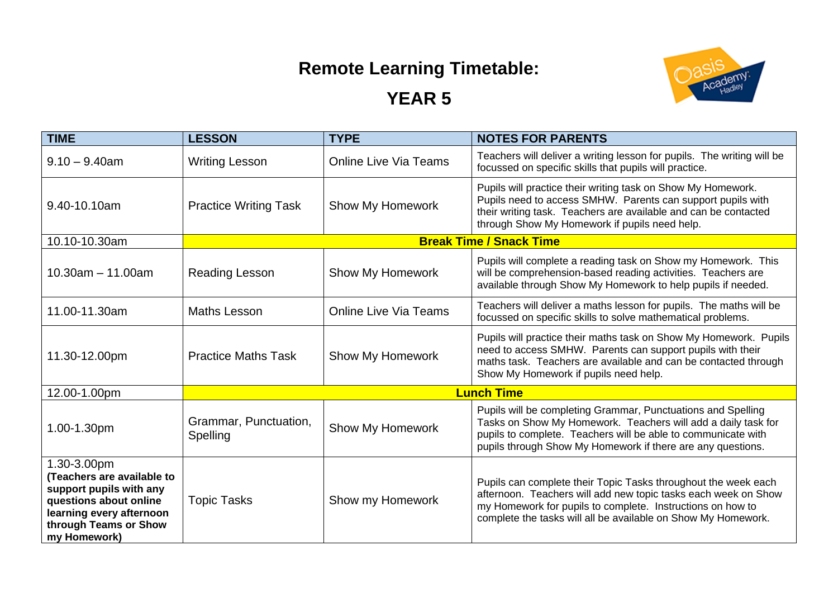

| <b>TIME</b>                                                                                                                                                         | <b>LESSON</b>                     | <b>TYPE</b>                  | <b>NOTES FOR PARENTS</b>                                                                                                                                                                                                                                        |
|---------------------------------------------------------------------------------------------------------------------------------------------------------------------|-----------------------------------|------------------------------|-----------------------------------------------------------------------------------------------------------------------------------------------------------------------------------------------------------------------------------------------------------------|
| $9.10 - 9.40$ am                                                                                                                                                    | <b>Writing Lesson</b>             | <b>Online Live Via Teams</b> | Teachers will deliver a writing lesson for pupils. The writing will be<br>focussed on specific skills that pupils will practice.                                                                                                                                |
| 9.40-10.10am                                                                                                                                                        | <b>Practice Writing Task</b>      | <b>Show My Homework</b>      | Pupils will practice their writing task on Show My Homework.<br>Pupils need to access SMHW. Parents can support pupils with<br>their writing task. Teachers are available and can be contacted<br>through Show My Homework if pupils need help.                 |
| 10.10-10.30am                                                                                                                                                       |                                   |                              | <b>Break Time / Snack Time</b>                                                                                                                                                                                                                                  |
| $10.30$ am $- 11.00$ am                                                                                                                                             | Reading Lesson                    | Show My Homework             | Pupils will complete a reading task on Show my Homework. This<br>will be comprehension-based reading activities. Teachers are<br>available through Show My Homework to help pupils if needed.                                                                   |
| 11.00-11.30am                                                                                                                                                       | <b>Maths Lesson</b>               | <b>Online Live Via Teams</b> | Teachers will deliver a maths lesson for pupils. The maths will be<br>focussed on specific skills to solve mathematical problems.                                                                                                                               |
| 11.30-12.00pm                                                                                                                                                       | <b>Practice Maths Task</b>        | <b>Show My Homework</b>      | Pupils will practice their maths task on Show My Homework. Pupils<br>need to access SMHW. Parents can support pupils with their<br>maths task. Teachers are available and can be contacted through<br>Show My Homework if pupils need help.                     |
| 12.00-1.00pm                                                                                                                                                        | <b>Lunch Time</b>                 |                              |                                                                                                                                                                                                                                                                 |
| 1.00-1.30pm                                                                                                                                                         | Grammar, Punctuation,<br>Spelling | <b>Show My Homework</b>      | Pupils will be completing Grammar, Punctuations and Spelling<br>Tasks on Show My Homework. Teachers will add a daily task for<br>pupils to complete. Teachers will be able to communicate with<br>pupils through Show My Homework if there are any questions.   |
| 1.30-3.00pm<br>(Teachers are available to<br>support pupils with any<br>questions about online<br>learning every afternoon<br>through Teams or Show<br>my Homework) | <b>Topic Tasks</b>                | Show my Homework             | Pupils can complete their Topic Tasks throughout the week each<br>afternoon. Teachers will add new topic tasks each week on Show<br>my Homework for pupils to complete. Instructions on how to<br>complete the tasks will all be available on Show My Homework. |